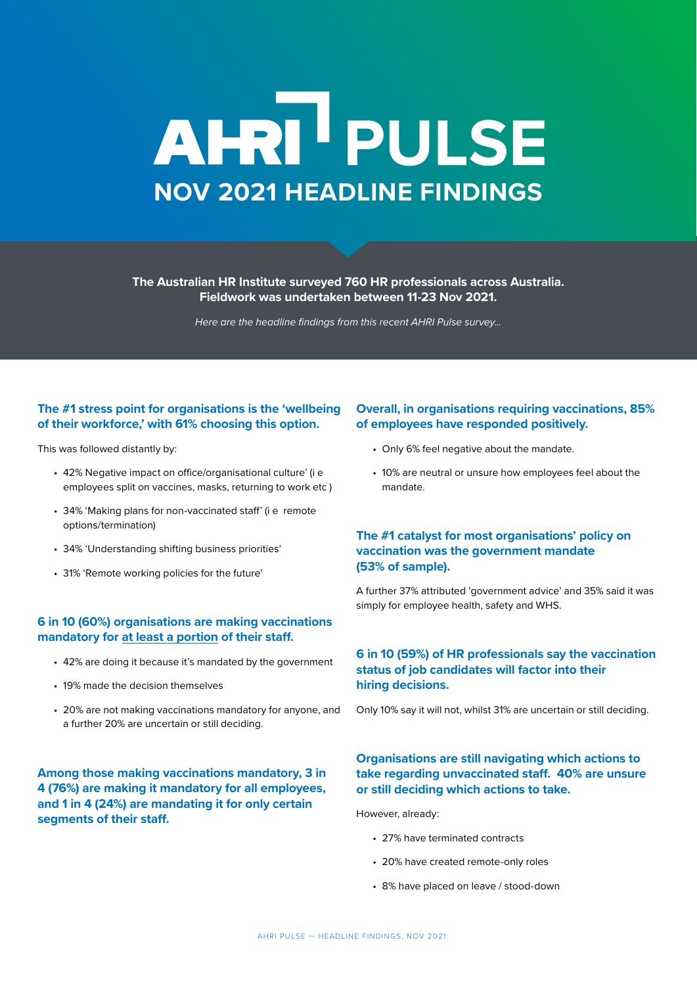# AHRI<sup>I</sup> PULSE **NOV 2021 HEADLINE FINDINGS**

**The Australian HR Institute surveyed 760 HR professionals across Australia. Fieldwork was undertaken between 11-23 Nov 2021.**

*Here are the headline findings from this recent AHRI Pulse survey...*

# **The #1 stress point for organisations is the 'wellbeing of their workforce,' with 61% choosing this option.**

This was followed distantly by:

- 42% Negative impact on office/organisational culture' (i e employees split on vaccines, masks, returning to work etc )
- 34% 'Making plans for non-vaccinated staff' (i e remote options/termination)
- 34% 'Understanding shifting business priorities'
- 31% 'Remote working policies for the future'

## **6 in 10 (60%) organisations are making vaccinations mandatory for at least a portion of their staff.**

- 42% are doing it because it's mandated by the government
- 19% made the decision themselves
- 20% are not making vaccinations mandatory for anyone, and a further 20% are uncertain or still deciding.

**Among those making vaccinations mandatory, 3 in 4 (76%) are making it mandatory for all employees, and 1 in 4 (24%) are mandating it for only certain segments of their staff.**

## **Overall, in organisations requiring vaccinations, 85% of employees have responded positively.**

- Only 6% feel negative about the mandate.
- 10% are neutral or unsure how employees feel about the mandate.

## **The #1 catalyst for most organisations' policy on vaccination was the government mandate (53% of sample).**

A further 37% attributed 'government advice' and 35% said it was simply for employee health, safety and WHS.

#### **6 in 10 (59%) of HR professionals say the vaccination status of job candidates will factor into their hiring decisions.**

Only 10% say it will not, whilst 31% are uncertain or still deciding.

#### **Organisations are still navigating which actions to take regarding unvaccinated staff. 40% are unsure or still deciding which actions to take.**

However, already:

- 27% have terminated contracts
- 20% have created remote-only roles
- 8% have placed on leave / stood-down